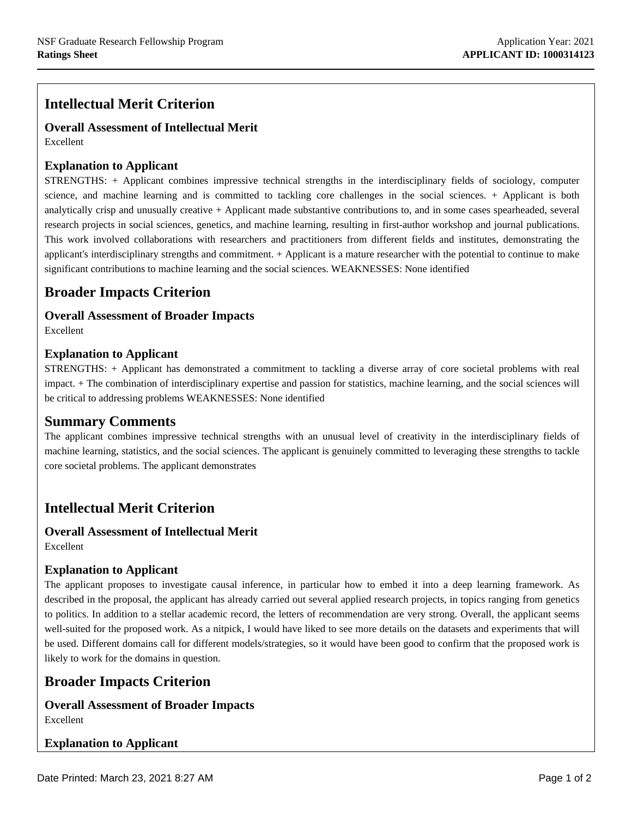# **Intellectual Merit Criterion**

**Overall Assessment of Intellectual Merit** Excellent

#### **Explanation to Applicant**

STRENGTHS: + Applicant combines impressive technical strengths in the interdisciplinary fields of sociology, computer science, and machine learning and is committed to tackling core challenges in the social sciences. + Applicant is both analytically crisp and unusually creative + Applicant made substantive contributions to, and in some cases spearheaded, several research projects in social sciences, genetics, and machine learning, resulting in first-author workshop and journal publications. This work involved collaborations with researchers and practitioners from different fields and institutes, demonstrating the applicant's interdisciplinary strengths and commitment. + Applicant is a mature researcher with the potential to continue to make significant contributions to machine learning and the social sciences. WEAKNESSES: None identified

# **Broader Impacts Criterion**

#### **Overall Assessment of Broader Impacts**

Excellent

**blank row**

#### **Explanation to Applicant**

STRENGTHS: + Applicant has demonstrated a commitment to tackling a diverse array of core societal problems with real impact. + The combination of interdisciplinary expertise and passion for statistics, machine learning, and the social sciences will be critical to addressing problems WEAKNESSES: None identified

#### **Summary Comments**

The applicant combines impressive technical strengths with an unusual level of creativity in the interdisciplinary fields of machine learning, statistics, and the social sciences. The applicant is genuinely committed to leveraging these strengths to tackle core societal problems. The applicant demonstrates

# **Intellectual Merit Criterion**

#### **Overall Assessment of Intellectual Merit** Excellent

#### **Explanation to Applicant**

The applicant proposes to investigate causal inference, in particular how to embed it into a deep learning framework. As described in the proposal, the applicant has already carried out several applied research projects, in topics ranging from genetics to politics. In addition to a stellar academic record, the letters of recommendation are very strong. Overall, the applicant seems well-suited for the proposed work. As a nitpick, I would have liked to see more details on the datasets and experiments that will be used. Different domains call for different models/strategies, so it would have been good to confirm that the proposed work is likely to work for the domains in question.

## **Broader Impacts Criterion**

#### **Overall Assessment of Broader Impacts** Excellent

#### **Explanation to Applicant**